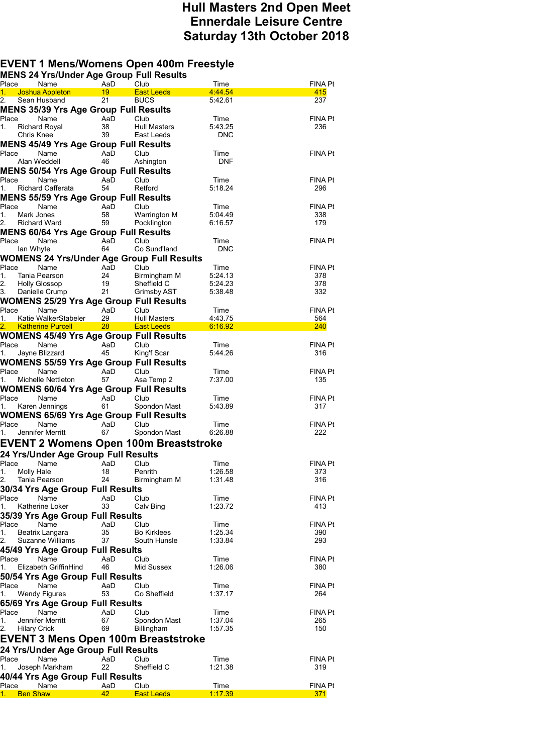## **Hull Masters 2nd Open Meet Ennerdale Leisure Centre Saturday 13th October 2018**

## **EVENT 1 Mens/Womens Open 400m Freestyle**

| <b>MENS 24 Yrs/Under Age Group Full Results</b>               |           |                                  |                    |                |
|---------------------------------------------------------------|-----------|----------------------------------|--------------------|----------------|
| Place<br>Name                                                 | AaD       | Club                             | Time               | FINA Pt        |
| 1. Joshua Appleton<br>Sean Husband                            | 19<br>21  | <b>East Leeds</b><br><b>BUCS</b> | 4 44 54<br>5:42.61 | 415<br>237     |
| 2.<br><b>MENS 35/39 Yrs Age Group Full Results</b>            |           |                                  |                    |                |
| Place<br>Name                                                 | AaD       | Club                             | Time               | FINA Pt        |
| 1.<br>Richard Royal                                           | 38        | <b>Hull Masters</b>              | 5:43.25            | 236            |
| Chris Knee                                                    | 39        | East Leeds                       | <b>DNC</b>         |                |
| MENS 45/49 Yrs Age Group Full Results                         |           |                                  |                    |                |
| Place<br>Name                                                 | AaD       | Club                             | Time               | FINA Pt        |
| Alan Weddell                                                  | 46        | Ashington                        | <b>DNF</b>         |                |
| <b>MENS 50/54 Yrs Age Group Full Results</b>                  |           |                                  |                    |                |
| Place<br>Name                                                 | AaD       | Club                             | Time               | FINA Pt        |
| 1.<br><b>Richard Cafferata</b>                                | 54        | Retford                          | 5:18.24            | 296            |
| <b>MENS 55/59 Yrs Age Group Full Results</b>                  |           |                                  |                    |                |
| Place<br>Name                                                 | AaD       | Club                             | Time               | FINA Pt        |
| 1.<br>Mark Jones                                              | 58        | Warrington M                     | 5:04.49            | 338            |
| 2.<br>Richard Ward                                            | 59        | Pocklington                      | 6:16.57            | 179            |
| <b>MENS 60/64 Yrs Age Group Full Results</b><br>Place<br>Name | AaD       | Club                             | Time               | FINA Pt        |
| lan Whyte                                                     | 64        | Co Sund'land                     | <b>DNC</b>         |                |
| <b>WOMENS 24 Yrs/Under Age Group Full Results</b>             |           |                                  |                    |                |
| Place<br>Name                                                 | AaD       | Club                             | Time               | <b>FINA Pt</b> |
| 1.<br>Tania Pearson                                           | 24        | Birmingham M                     | 5:24.13            | 378            |
| 2.<br>Holly Glossop                                           | 19        | Sheffield C                      | 5:24.23            | 378            |
| Danielle Crump<br>3.                                          | 21        | Grimsby AST                      | 5:38.48            | 332            |
| <b>WOMENS 25/29 Yrs Age Group Full Results</b>                |           |                                  |                    |                |
| Place<br>Name                                                 | AaD       | Club                             | Time               | FINA Pt        |
| Katie WalkerStabeler<br>1.                                    | 29        | <b>Hull Masters</b>              | 4:43.75            | 564            |
| 2.<br><b>Katherine Purcell</b>                                | $28 - 1$  | <b>East Leeds</b>                | 6:16.92            | 240            |
| WOMENS 45/49 Yrs Age Group Full Results                       |           |                                  |                    |                |
| Place<br>Name<br>Jayne Blizzard<br>1.                         | AaD<br>45 | Club<br>King'f Scar              | Time<br>5:44.26    | FINA Pt<br>316 |
| <b>WOMENS 55/59 Yrs Age Group Full Results</b>                |           |                                  |                    |                |
| Place<br>Name                                                 | AaD       | Club                             | Time               | FINA Pt        |
| Michelle Nettleton<br>1.                                      | 57        | Asa Temp 2                       | 7:37.00            | 135            |
| <b>WOMENS 60/64 Yrs Age Group Full Results</b>                |           |                                  |                    |                |
| Place<br>Name                                                 | AaD       | Club                             | Time               | FINA Pt        |
| Karen Jennings<br>1.                                          | 61        | Spondon Mast                     | 5:43.89            | 317            |
| <b>WOMENS 65/69 Yrs Age Group Full Results</b>                |           |                                  |                    |                |
| Place<br>Name                                                 | AaD       | Club                             | Time               | FINA Pt        |
| 1.<br>Jennifer Merritt                                        | 67        | Spondon Mast                     | 6:26.88            | 222            |
| EVENT 2 Womens Open 100m Breaststroke                         |           |                                  |                    |                |
| 24 Yrs/Under Age Group Full Results                           |           |                                  |                    |                |
| Place<br>Name                                                 | AaD       | Club                             | Time               | FINA Pt        |
| 1. Molly Hale                                                 | 18        | Penrith                          | 1:26.58            | 373            |
| 2. Tania Pearson                                              | 24        | Birmingham M                     | 1:31.48            | 316            |
| 30/34 Yrs Age Group Full Results                              |           |                                  |                    |                |
| Place<br>Name                                                 | AaD       | Club                             | Time               | FINA Pt        |
| 1.<br>Katherine Loker                                         | 33        | Calv Bing                        | 1:23.72            | 413            |
| 35/39 Yrs Age Group Full Results                              |           |                                  |                    |                |
| Name<br>Place                                                 | AaD       | Club                             | Time               | FINA Pt        |
| 1.<br>Beatrix Langara                                         | 35        | <b>Bo Kirklees</b>               | 1:25.34            | 390            |
| 2.<br>Suzanne Williams                                        | 37        | South Hunsle                     | 1:33.84            | 293            |
| 45/49 Yrs Age Group Full Results                              |           |                                  |                    |                |
| Place<br>Name                                                 | AaD       | Club                             | Time               | FINA Pt        |
| 1.<br>Elizabeth GriffinHind                                   | 46        | Mid Sussex                       | 1:26.06            | 380            |
| 50/54 Yrs Age Group Full Results                              |           |                                  |                    |                |
| Place<br>Name                                                 | AaD       | Club                             | Time               | FINA Pt        |
| Wendy Figures<br>1.                                           | 53        | Co Sheffield                     | 1:37.17            | 264            |
| 65/69 Yrs Age Group Full Results<br>Name                      |           | Club                             |                    |                |
| Place<br>1.<br>Jennifer Merritt                               | AaD<br>67 | Spondon Mast                     | Time<br>1:37.04    | FINA Pt<br>265 |
| 2.<br><b>Hilary Crick</b>                                     | 69        | Billingham                       | 1:57.35            | 150            |
| <b>EVENT 3 Mens Open 100m Breaststroke</b>                    |           |                                  |                    |                |
|                                                               |           |                                  |                    |                |
| 24 Yrs/Under Age Group Full Results                           |           |                                  |                    |                |
| Place<br>Name<br>Joseph Markham                               | AaD<br>22 | Club<br>Sheffield C              | Time<br>1:21.38    | FINA Pt<br>319 |
| 40/44 Yrs Age Group Full Results                              |           |                                  |                    |                |
| Name<br>Place                                                 | AaD       | Club                             | Time               | FINA Pt        |
| <b>Ben Shaw</b>                                               | 42        | <b>East Leeds</b>                | 1.17.39            | 371            |
|                                                               |           |                                  |                    |                |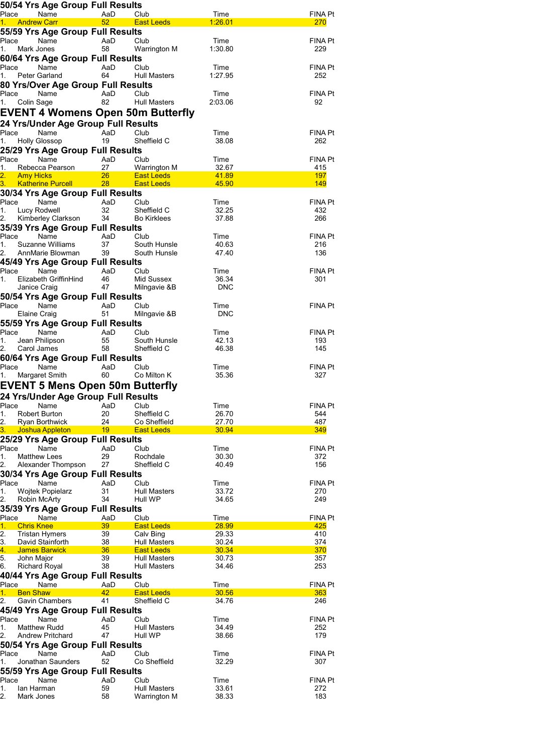| 50/54 Yrs Age Group Full Results                      |                 |                                     |                |                       |
|-------------------------------------------------------|-----------------|-------------------------------------|----------------|-----------------------|
| Place<br>Name                                         | AaD             | Club                                | Time           | FINA Pt               |
| <b>Andrew Carr</b><br>1.                              | 52              | <b>East Leeds</b>                   | <u>1:26.01</u> | 270                   |
| 55/59 Yrs Age Group Full Results<br>Place<br>Name     | AaD             | Club                                | Time           | FINA Pt               |
| 1.<br>Mark Jones                                      | 58              | Warrington M                        | 1:30.80        | 229                   |
| 60/64 Yrs Age Group Full Results                      |                 |                                     |                |                       |
| Place<br>Name                                         | AaD             | Club                                | Time           | FINA Pt               |
| Peter Garland<br>1.                                   | 64              | <b>Hull Masters</b>                 | 1:27.95        | 252                   |
| 80 Yrs/Over Age Group Full Results                    |                 |                                     |                |                       |
| Place<br>Name                                         | AaD             | Club                                | Time           | FINA Pt               |
| 1.<br>Colin Sage                                      | 82              | Hull Masters                        | 2:03.06        | 92                    |
| <b>EVENT 4 Womens Open 50m Butterfly</b>              |                 |                                     |                |                       |
| 24 Yrs/Under Age Group Full Results                   |                 |                                     |                |                       |
| Place<br>Name<br><b>Holly Glossop</b><br>1.           | AaD<br>19       | Club<br>Sheffield C                 | Time<br>38.08  | FINA Pt<br>262        |
| 25/29 Yrs Age Group Full Results                      |                 |                                     |                |                       |
| Place<br>Name                                         | AaD             | Club                                | Time           | FINA Pt               |
| 1.<br>Rebecca Pearson                                 | 27              | <b>Warrington M</b>                 | 32.67          | 415                   |
| 2.<br><b>Amy Hicks</b>                                | 26 <sup>2</sup> | <b>East Leeds</b>                   | 41.89          | 197                   |
| <b>Katherine Purcell</b><br>3.                        | 28 <sup>2</sup> | <b>East Leeds</b>                   | 45.90          | <b>149</b>            |
| 30/34 Yrs Age Group Full Results<br>Place             |                 |                                     |                |                       |
| Name<br>1.<br>Lucy Rodwell                            | AaD<br>32       | Club<br>Sheffield C                 | Time<br>32.25  | <b>FINA Pt</b><br>432 |
| 2.<br>Kimberley Clarkson                              | 34              | <b>Bo Kirklees</b>                  | 37.88          | 266                   |
| 35/39 Yrs Age Group Full Results                      |                 |                                     |                |                       |
| Place<br>Name                                         | AaD             | Club                                | Time           | FINA Pt               |
| 1.<br>Suzanne Williams                                | 37              | South Hunsle                        | 40.63          | 216                   |
| AnnMarie Blowman<br>45/49 Yrs Age Group Full Results  | 39              | South Hunsle                        | 47.40          | 136                   |
| Place<br>Name                                         | AaD             | Club                                | Time           | FINA Pt               |
| 1.<br>Elizabeth GriffinHind                           | 46              | Mid Sussex                          | 36.34          | 301                   |
| Janice Craig                                          | 47              | Milngavie &B                        | DNC            |                       |
| 50/54 Yrs Age Group Full Results                      |                 |                                     |                |                       |
| Name<br>Place                                         | AaD             | Club                                | Time           | FINA Pt               |
| Elaine Craig                                          | 51              | Milngavie &B                        | <b>DNC</b>     |                       |
| 55/59 Yrs Age Group Full Results<br>Place<br>Name     | AaD             | Club                                | Time           | FINA Pt               |
| 1.<br>Jean Philipson                                  | 55              | South Hunsle                        | 42.13          | 193                   |
| Carol James                                           | 58              | Sheffield C                         | 46.38          | 145                   |
| 60/64 Yrs Age Group Full Results                      |                 |                                     |                |                       |
| Place<br>Name                                         | AaD             | Club                                | Time           | FINA Pt               |
| <b>Margaret Smith</b><br>1.                           | 60              | Co Milton K                         | 35.36          | 327                   |
| <b>EVENT 5 Mens Open 50m Butterfly</b>                |                 |                                     |                |                       |
| 24 Yrs/Under Age Group Full Results                   |                 |                                     |                |                       |
| Place<br>Name<br>1.<br>Robert Burton                  | AaD<br>20       | Club<br>Sheffield C                 | Time<br>26.70  | <b>FINA Pt</b><br>544 |
| 2.<br><b>Ryan Borthwick</b>                           | 24              | Co Sheffield                        | 27.70          | 487                   |
| 3.<br><b>Joshua Appleton</b>                          | 19              | <b>East Leeds</b>                   | 30.94          | 349                   |
| 25/29 Yrs Age Group Full Results                      |                 |                                     |                |                       |
| Place<br>Name                                         | AaD             | Club                                | Time           | <b>FINA Pt</b>        |
| 1.<br><b>Matthew Lees</b><br>2.<br>Alexander Thompson | 29<br>27        | Rochdale<br>Sheffield C             | 30.30<br>40.49 | 372<br>156            |
| 30/34 Yrs Age Group Full Results                      |                 |                                     |                |                       |
| Place<br>Name                                         | AaD             | Club                                | Time           | FINA Pt               |
| 1.<br><b>Wojtek Popielarz</b>                         | 31              | <b>Hull Masters</b>                 | 33.72          | 270                   |
| Robin McArty<br>2.                                    | 34              | Hull WP                             | 34.65          | 249                   |
| 35/39 Yrs Age Group Full Results                      |                 |                                     |                |                       |
| Place<br>Name<br><b>Chris Knee</b><br>1.              | AaD<br>39       | Club<br><b>East Leeds</b>           | Time<br>28.99  | FINA Pt<br>425        |
| 2.<br><b>Tristan Hymers</b>                           | 39              | Calv Bing                           | 29.33          | 410                   |
| 3.<br>David Stainforth                                | 38              | <b>Hull Masters</b>                 | 30.24          | 374                   |
| <b>James Barwick</b><br>4.                            | 36              | <b>East Leeds</b>                   | 30.34          | 370                   |
| 5.<br>John Major<br>6.<br><b>Richard Royal</b>        | 39<br>38        | Hull Masters<br><b>Hull Masters</b> | 30.73<br>34.46 | 357<br>253            |
| 40/44 Yrs Age Group Full Results                      |                 |                                     |                |                       |
| Place<br>Name                                         | AaD             | Club                                | Time           | <b>FINA Pt</b>        |
| 1.<br><b>Ben Shaw</b>                                 | 42              | <b>East Leeds</b>                   | 30.56          | 363                   |
| Gavin Chambers<br>2.                                  | 41              | Sheffield C                         | 34.76          | 246                   |
| 45/49 Yrs Age Group Full Results                      | AaD             |                                     |                |                       |
| Place<br>Name<br>1.<br><b>Matthew Rudd</b>            | 45              | Club<br>Hull Masters                | Time<br>34.49  | FINA Pt<br>252        |
| 2.<br><b>Andrew Pritchard</b>                         | 47              | Hull WP                             | 38.66          | 179                   |
| 50/54 Yrs Age Group Full Results                      |                 |                                     |                |                       |
| Place<br>Name                                         | AaD             | Club                                | Time           | FINA Pt               |
| Jonathan Saunders<br>1.                               | 52              | Co Sheffield                        | 32.29          | 307                   |
| 55/59 Yrs Age Group Full Results                      |                 |                                     |                |                       |
| Place<br>Name<br>1.<br>lan Harman                     | AaD<br>59       | Club<br>Hull Masters                | Time<br>33.61  | <b>FINA Pt</b><br>272 |
| 2.<br>Mark Jones                                      | 58              | Warrington M                        | 38.33          | 183                   |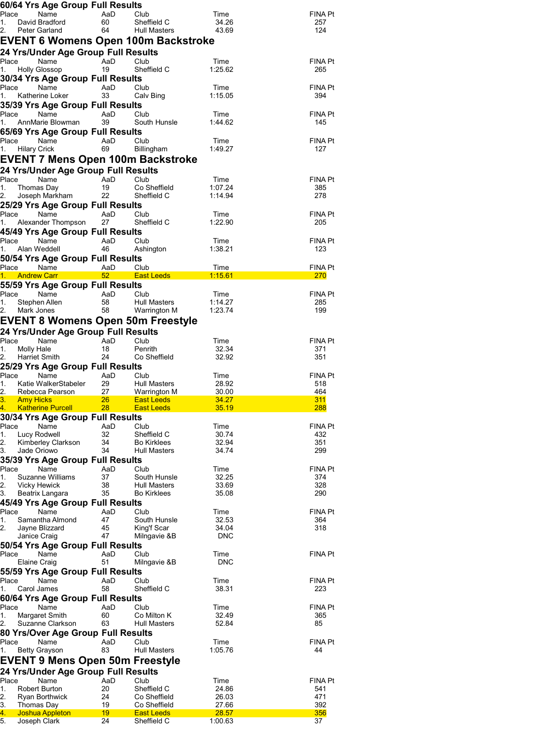|                                          | 60/64 Yrs Age Group Full Results                                              |                 |                                            |                     |                       |
|------------------------------------------|-------------------------------------------------------------------------------|-----------------|--------------------------------------------|---------------------|-----------------------|
| Place<br>1.                              | Name<br>David Bradford                                                        | AaD<br>60       | Club<br>Sheffield C                        | Time<br>34.26       | FINA Pt<br>257        |
| 2.<br>Peter Garland                      |                                                                               | 64              | Hull Masters                               | 43.69               | 124                   |
|                                          |                                                                               |                 | <b>EVENT 6 Womens Open 100m Backstroke</b> |                     |                       |
|                                          | 24 Yrs/Under Age Group Full Results                                           |                 |                                            |                     |                       |
| Place<br>1.                              | Name<br>Holly Glossop                                                         | AaD<br>19       | Club<br>Sheffield C                        | Time<br>1:25.62     | FINA Pt<br>265        |
|                                          | 30/34 Yrs Age Group Full Results                                              |                 |                                            |                     |                       |
| Place                                    | Name                                                                          | AaD             | Club                                       | Time                | FINA Pt               |
| 1.                                       | Katherine Loker<br>35/39 Yrs Age Group Full Results                           | 33              | Calv Bing                                  | 1:15.05             | 394                   |
| Place                                    | Name                                                                          | AaD             | Club                                       | Time                | FINA Pt               |
| 1.                                       | AnnMarie Blowman                                                              | 39              | South Hunsle                               | 1:44.62             | 145                   |
|                                          | 65/69 Yrs Age Group Full Results                                              |                 |                                            |                     |                       |
| Place Name<br><b>Hilary Crick</b><br>1.  |                                                                               | AaD<br>69       | Club<br>Billingham                         | Time<br>1:49.27     | FINA Pt<br>127        |
|                                          |                                                                               |                 | EVENT 7 Mens Open 100m Backstroke          |                     |                       |
|                                          | 24 Yrs/Under Age Group Full Results                                           |                 |                                            |                     |                       |
| Place                                    | Name                                                                          | AaD             | Club                                       | Time                | FINA Pt               |
| 1.<br>Thomas Day                         | Joseph Markham                                                                | 19<br>22        | Co Sheffield<br>Sheffield C                | 1:07.24<br>1:14.94  | 385<br>278            |
|                                          | 25/29 Yrs Age Group Full Results                                              |                 |                                            |                     |                       |
| Place                                    | Name                                                                          | AaD             | Club                                       | Time                | FINA Pt               |
|                                          | Alexander Thompson<br>45/49 Yrs Age Group Full Results                        | 27              | Sheffield C                                | 1:22.90             | 205                   |
| Place                                    | Name                                                                          | AaD             | Club                                       | Time                | <b>FINA Pt</b>        |
| 1.<br>Alan Weddell                       |                                                                               | 46              | Ashington                                  | 1:38.21             | 123                   |
|                                          | 50/54 Yrs Age Group Full Results                                              |                 |                                            |                     |                       |
| Place                                    | Name<br>1. Andrew Carr <b>Andrew Carr</b>                                     | AaD             | Club<br>52 East Leeds                      | Time<br>1:15.61     | FINA Pt<br>270        |
|                                          | 55/59 Yrs Age Group Full Results                                              |                 |                                            |                     |                       |
| Place                                    | Name                                                                          | AaD             | Club                                       | Time                | <b>FINA Pt</b>        |
| 1.<br>Stephen Allen<br>2.<br>Mark Jones  |                                                                               | 58<br>58        | Hull Masters<br>Warrington M               | 1:14.27<br>1:23.74  | 285<br>199            |
|                                          |                                                                               |                 | <b>EVENT 8 Womens Open 50m Freestyle</b>   |                     |                       |
|                                          | 24 Yrs/Under Age Group Full Results                                           |                 |                                            |                     |                       |
| Place                                    | Name                                                                          | AaD             | Club                                       | Time                | FINA Pt               |
| Molly Hale<br>1.                         |                                                                               | 18<br>24        | Penrith                                    | 32.34<br>32.92      | 371<br>351            |
| Harriet Smith                            | 25/29 Yrs Age Group Full Results                                              |                 | Co Sheffield                               |                     |                       |
| Place                                    | Name                                                                          | AaD             |                                            |                     | FINA Pt               |
|                                          |                                                                               |                 | Club                                       | Time                |                       |
| 1.                                       | Katie WalkerStabeler                                                          | 29              | <b>Hull Masters</b>                        | 28.92               | 518                   |
|                                          | Rebecca Pearson 27                                                            | 26 <sup>2</sup> | Warrington M<br><b>East Leeds</b>          | 30.00<br>34.27      | 464<br>311            |
| <b>3.</b> Amy Hicks <b>Amy Hicks</b>     | <mark>4.   Katherine Purcell</mark>                                           | 28              | <b>East Leeds</b>                          | 35.19               | 288                   |
|                                          | 30/34 Yrs Age Group Full Results                                              |                 |                                            |                     |                       |
| Place<br>1.<br>Lucy Rodwell              | Name                                                                          | AaD<br>32       | Club<br>Sheffield C                        | Time<br>30.74       | <b>FINA Pt</b><br>432 |
| 2.                                       | Kimberley Clarkson                                                            | 34              | <b>Bo Kirklees</b>                         | 32.94               | 351                   |
| 3.<br>Jade Oriowo                        |                                                                               | 34              | <b>Hull Masters</b>                        | 34.74               | 299                   |
|                                          | 35/39 Yrs Age Group Full Results<br>Name                                      | AaD             | Club                                       | Time                | <b>FINA Pt</b>        |
|                                          | Suzanne Williams                                                              | 37              | South Hunsle                               | 32.25               | 374                   |
| Place<br>1.<br>2.<br><b>Vicky Hewick</b> |                                                                               | 38              | <b>Hull Masters</b>                        | 33.69               | 328                   |
| 3.                                       | Beatrix Langara<br>45/49 Yrs Age Group Full Results                           | 35              | <b>Bo Kirklees</b>                         | 35.08               | 290                   |
|                                          | Name                                                                          | AaD             | Club                                       | Time                | <b>FINA Pt</b>        |
| Place<br>1.                              | Samantha Almond                                                               | 47              | South Hunsle                               | 32.53               | 364                   |
| Janice Craig                             | Jayne Blizzard                                                                | 45<br>47        | King'f Scar<br>Milngavie &B                | 34.04<br><b>DNC</b> | 318                   |
| 2.                                       | 50/54 Yrs Age Group Full Results                                              |                 |                                            |                     |                       |
| Place                                    | Name                                                                          | AaD             | Club                                       | Time                | FINA Pt               |
| Elaine Craig                             |                                                                               | 51              | Milngavie &B                               | <b>DNC</b>          |                       |
| Place                                    | 55/59 Yrs Age Group Full Results<br>Name                                      | AaD             | Club                                       | Time                | FINA Pt               |
| 1.<br>Carol James                        |                                                                               | 58              | Sheffield C                                | 38.31               | 223                   |
|                                          | 60/64 Yrs Age Group Full Results                                              |                 |                                            |                     |                       |
|                                          | Name<br>Margaret Smith                                                        | AaD<br>60       | Club<br>Co Milton K                        | Time<br>32.49       | <b>FINA Pt</b><br>365 |
|                                          | Suzanne Clarkson                                                              | 63              | <b>Hull Masters</b>                        | 52.84               | 85                    |
| Place<br>1.<br>2.                        | 80 Yrs/Over Age Group Full Results                                            |                 |                                            |                     |                       |
| Place<br>1.                              | Name                                                                          | AaD<br>83       | Club<br><b>Hull Masters</b>                | Time<br>1:05.76     | FINA Pt<br>44         |
| <b>Betty Grayson</b>                     |                                                                               |                 |                                            |                     |                       |
|                                          | <b>EVENT 9 Mens Open 50m Freestyle</b><br>24 Yrs/Under Age Group Full Results |                 |                                            |                     |                       |
|                                          | Name                                                                          | AaD             | Club                                       | Time                | <b>FINA Pt</b>        |
| Place<br>1.<br><b>Robert Burton</b>      |                                                                               | 20              | Sheffield C                                | 24.86               | 541                   |
| Thomas Day                               | Ryan Borthwick                                                                | 24<br>19        | Co Sheffield<br>Co Sheffield               | 26.03<br>27.66      | 471<br>392            |
| 2.<br>3.<br>4.<br>5.<br>Joseph Clark     | <b>Joshua Appleton</b>                                                        | 19<br>24        | <b>East Leeds</b><br>Sheffield C           | 28.57<br>1:00.63    | 356<br>37             |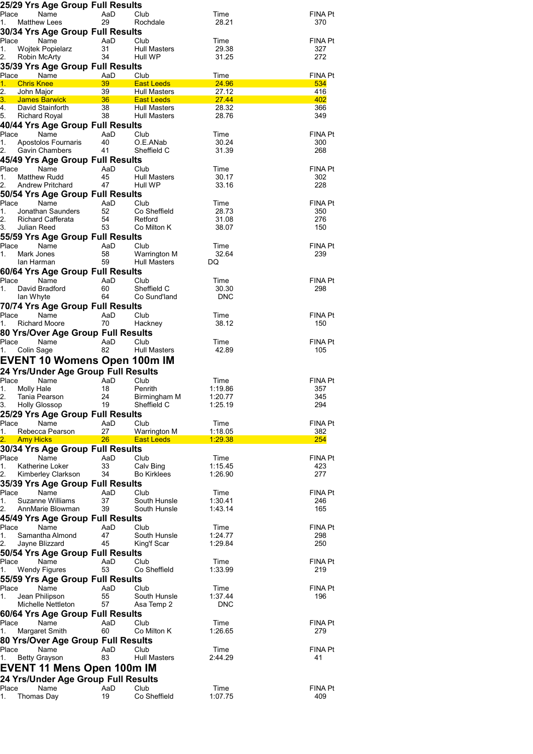|             | 25/29 Yrs Age Group Full Results                       |           |                                     |                    |                       |
|-------------|--------------------------------------------------------|-----------|-------------------------------------|--------------------|-----------------------|
| Place       | Name                                                   | AaD       | Club                                | Time               | FINA Pt               |
| 1.          | <b>Matthew Lees</b>                                    | 29        | Rochdale                            | 28.21              | 370                   |
|             | 30/34 Yrs Age Group Full Results<br>Place<br>Name      | AaD       | Club                                | Time               | FINA Pt               |
| 1.          | <b>Wojtek Popielarz</b>                                | 31        | Hull Masters                        | 29.38              | 327                   |
| 2.          | Robin McArty                                           | 34        | Hull WP                             | 31.25              | 272                   |
|             | 35/39 Yrs Age Group Full Results                       |           |                                     |                    |                       |
| Place<br>1. | Name<br><b>Chris Knee</b>                              | AaD<br>39 | Club<br><b>East Leeds</b>           | Time<br>24.96      | <b>FINA Pt</b><br>534 |
| 2.          | John Major                                             | 39        | <b>Hull Masters</b>                 | 27.12              | 416                   |
| 3.          | James Barwick                                          | $36 - 10$ | <b>East Leeds</b>                   | <b>27.44</b>       | 402                   |
| 4.<br>5.    | David Stainforth                                       | 38<br>38  | Hull Masters<br><b>Hull Masters</b> | 28.32              | 366<br>349            |
|             | Richard Royal<br>40/44 Yrs Age Group Full Results      |           |                                     | 28.76              |                       |
|             | Place<br>Name                                          | AaD       | Club                                | Time               | <b>FINA Pt</b>        |
| 1.          | Apostolos Fournaris                                    | 40        | O.E.ANab                            | 30.24              | 300                   |
| 2.          | Gavin Chambers                                         | 41        | Sheffield C                         | 31.39              | 268                   |
|             | 45/49 Yrs Age Group Full Results                       |           |                                     |                    |                       |
| Place<br>1. | Name<br>Matthew Rudd                                   | AaD<br>45 | Club<br><b>Hull Masters</b>         | Time<br>30.17      | FINA Pt<br>302        |
| 2.          | Andrew Pritchard                                       | 47        | Hull WP                             | 33.16              | 228                   |
|             | 50/54 Yrs Age Group Full Results                       |           |                                     |                    |                       |
| Place       | Name                                                   | AaD       | Club                                | Time               | FINA Pt               |
| 1.<br>2.    | Jonathan Saunders<br>Richard Cafferata                 | 52<br>54  | Co Sheffield<br>Retford             | 28.73<br>31.08     | 350<br>276            |
| 3.          | Julian Reed                                            | 53        | Co Milton K                         | 38.07              | 150                   |
|             | 55/59 Yrs Age Group Full Results                       |           |                                     |                    |                       |
| Place       | Name                                                   | AaD       | Club                                | Time               | FINA Pt               |
| 1.          | Mark Jones                                             | 58        | Warrington M                        | 32.64              | 239                   |
|             | lan Harman<br>60/64 Yrs Age Group Full Results         | 59        | <b>Hull Masters</b>                 | DQ                 |                       |
| Place       | Name                                                   | AaD       | Club                                | Time               | FINA Pt               |
| 1.          | David Bradford                                         | 60        | Sheffield C                         | 30.30              | 298                   |
|             | lan Whyte                                              | 64        | Co Sund'land                        | DNC                |                       |
|             | 70/74 Yrs Age Group Full Results<br>Place              |           |                                     |                    |                       |
| 1.          | Name<br><b>Richard Moore</b>                           | AaD<br>70 | Club<br>Hackney                     | Time<br>38.12      | FINA Pt<br>150        |
|             | 80 Yrs/Over Age Group Full Results                     |           |                                     |                    |                       |
| Place       | Name                                                   | AaD       | Club                                | Time               | FINA Pt               |
| 1.          | Colin Sage                                             | 82        | <b>Hull Masters</b>                 | 42.89              | 105                   |
|             | <b>EVENT 10 Womens Open 100m IM</b>                    |           |                                     |                    |                       |
|             | 24 Yrs/Under Age Group Full Results                    |           |                                     |                    |                       |
| Place<br>1. | Name                                                   | AaD       | Club                                | Time               | FINA Pt               |
| 2.          | Molly Hale<br>Tania Pearson                            | 18<br>24  | Penrith<br>Birmingham M             | 1:19.86<br>1:20.77 | 357<br>345            |
| 3.          | <b>Holly Glossop</b>                                   | 19        | Sheffield C                         | 1:25.19            | 294                   |
|             | 25/29 Yrs Age Group Full Results                       |           |                                     |                    |                       |
| Place       | Name<br>Rebecca Pearson                                | AaD       | Club<br><b>Warrington M</b>         | Time               | FINA Pt               |
| 1.<br>2.    | <b>Amy Hicks</b>                                       | 27<br>26  | <b>East Leeds</b>                   | 1:18.05<br>1:29.38 | 382<br>254            |
|             | 30/34 Yrs Age Group Full Results                       |           |                                     |                    |                       |
| Place       | Name                                                   | AaD       | Club                                | Time               | FINA Pt               |
| 1.          | Katherine Loker                                        | 33        | Calv Bing                           | 1:15.45            | 423                   |
| 2.          | Kimberley Clarkson<br>35/39 Yrs Age Group Full Results | 34        | <b>Bo Kirklees</b>                  | 1:26.90            | 277                   |
| Place       | Name                                                   | AaD       | Club                                | Time               | FINA Pt               |
| 1.          | Suzanne Williams                                       | 37        | South Hunsle                        | 1:30.41            | 246                   |
| 2.          | AnnMarie Blowman                                       | 39        | South Hunsle                        | 1:43.14            | 165                   |
| Place       | 45/49 Yrs Age Group Full Results<br>Name               | AaD       | Club                                | Time               | FINA Pt               |
| 1.          | Samantha Almond                                        | 47        | South Hunsle                        | 1:24.77            | 298                   |
| 2.          | Jayne Blizzard                                         | 45        | King'f Scar                         | 1:29.84            | 250                   |
|             | 50/54 Yrs Age Group Full Results                       |           |                                     |                    |                       |
| Place       | Name                                                   | AaD       | Club                                | Time               | FINA Pt               |
| 1.          | <b>Wendy Figures</b>                                   | 53        | Co Sheffield                        | 1:33.99            | 219                   |
| Place       | 55/59 Yrs Age Group Full Results<br>Name               | AaD       | Club                                | Time               | FINA Pt               |
| 1.          | Jean Philipson                                         | 55        | South Hunsle                        | 1:37.44            | 196                   |
|             | Michelle Nettleton                                     | 57        | Asa Temp 2                          | <b>DNC</b>         |                       |
|             | 60/64 Yrs Age Group Full Results                       |           |                                     |                    |                       |
| Place       | Name                                                   | AaD<br>60 | Club<br>Co Milton K                 | Time<br>1:26.65    | FINA Pt<br>279        |
| 1.          | Margaret Smith<br>80 Yrs/Over Age Group Full Results   |           |                                     |                    |                       |
| Place       |                                                        | AaD       | Club                                | Time               | FINA Pt               |
|             | Name                                                   |           |                                     |                    |                       |
| 1.          | <b>Betty Grayson</b>                                   | 83        | <b>Hull Masters</b>                 | 2:44.29            | 41                    |
|             | EVENT 11 Mens Open 100m IM                             |           |                                     |                    |                       |
|             | 24 Yrs/Under Age Group Full Results                    |           |                                     |                    |                       |
| Place<br>1. | Name<br>Thomas Day                                     | AaD<br>19 | Club<br>Co Sheffield                | Time<br>1:07.75    | <b>FINA Pt</b><br>409 |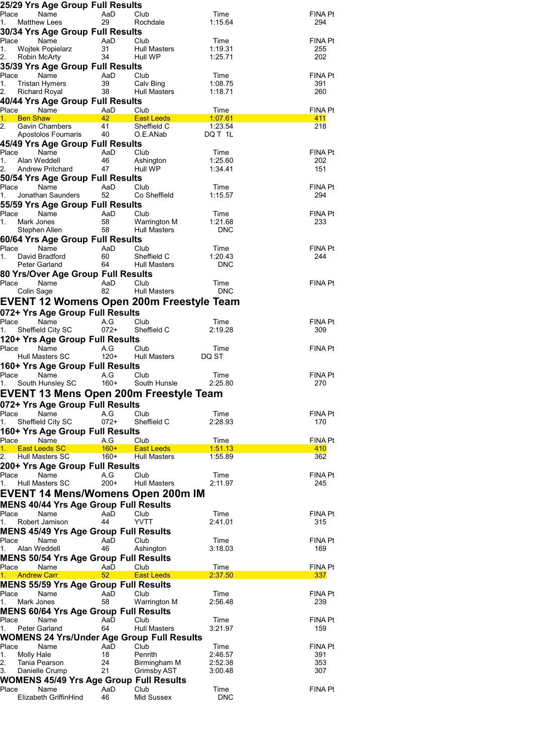|                                               | 25/29 Yrs Age Group Full Results               |               |                                                   |                       |                |
|-----------------------------------------------|------------------------------------------------|---------------|---------------------------------------------------|-----------------------|----------------|
| Place                                         | Name                                           | AaD           | Club                                              | Time                  | FINA Pt        |
| <b>Matthew Lees</b><br>1.                     | 30/34 Yrs Age Group Full Results               | 29            | Rochdale                                          | 1:15.64               | 294            |
| Place                                         | Name                                           | AaD           | Club                                              | Time                  | FINA Pt        |
| 1.                                            | Wojtek Popielarz                               | 31            | Hull Masters                                      | 1:19.31               | 255            |
| 2.<br>Robin McArty                            |                                                | 34            | Hull WP                                           | 1:25.71               | 202            |
|                                               | 35/39 Yrs Age Group Full Results               |               |                                                   |                       |                |
| Place<br>1.<br><b>Tristan Hymers</b>          | Name                                           | AaD<br>39     | Club<br>Calv Bing                                 | Time<br>1:08.75       | FINA Pt<br>391 |
| 2.<br><b>Richard Royal</b>                    |                                                | 38            | Hull Masters                                      | 1:18.71               | 260            |
|                                               | 40/44 Yrs Age Group Full Results               |               |                                                   |                       |                |
| Place Name                                    |                                                | AaD<br>Club   |                                                   | Time                  | FINA Pt        |
| 1.<br><b>Ben Shaw</b><br>2.                   | <b>Gavin Chambers</b>                          | 42<br>41      | <b>East Leeds</b><br>Sheffield C                  | 1:07.61<br>1:23.54    | 411<br>218     |
|                                               | Apostolos Fournaris                            | 40            | O.E.ANab                                          | DQ T 1L               |                |
|                                               | 45/49 Yrs Age Group Full Results               |               |                                                   |                       |                |
| Place                                         | Name                                           | AaD           | Club                                              | Time                  | <b>FINA Pt</b> |
| 1.<br>Alan Weddell<br>2.                      | Andrew Pritchard                               | 46<br>47      | Ashington<br>Hull WP                              | 1:25.60<br>1:34.41    | 202<br>151     |
|                                               | 50/54 Yrs Age Group Full Results               |               |                                                   |                       |                |
| Place                                         | Name                                           | AaD           | Club                                              | Time                  | FINA Pt        |
| 1.                                            | Jonathan Saunders                              | 52            | Co Sheffield                                      | 1:15.57               | 294            |
|                                               | 55/59 Yrs Age Group Full Results               |               |                                                   |                       |                |
| Place<br>1.<br>Mark Jones                     | Name                                           | AaD<br>58     | Club<br>Warrington M                              | Time<br>1:21.68       | FINA Pt<br>233 |
| Stephen Allen                                 |                                                | 58            | <b>Hull Masters</b>                               | <b>DNC</b>            |                |
|                                               | 60/64 Yrs Age Group Full Results               |               |                                                   |                       |                |
| Place                                         | Name                                           | AaD           | Club                                              | Time                  | FINA Pt        |
| 1.<br>David Bradford<br>Peter Garland         |                                                | 60<br>64      | Sheffield C<br>Hull Masters                       | 1:20.43<br><b>DNC</b> | 244            |
|                                               | 80 Yrs/Over Age Group Full Results             |               |                                                   |                       |                |
| Place                                         | Name                                           | AaD           | Club                                              | Time                  | FINA Pt        |
| Colin Sage                                    |                                                | 82            | <b>Hull Masters</b>                               | <b>DNC</b>            |                |
|                                               |                                                |               | EVENT 12 Womens Open 200m Freestyle Team          |                       |                |
|                                               | 072+ Yrs Age Group Full Results                |               |                                                   |                       |                |
| Place                                         | Name<br>Sheffield City SC                      | A.G<br>072+   | Club<br>Sheffield C                               | Time<br>2:19.28       | FINA Pt<br>309 |
| 1.                                            | 120+ Yrs Age Group Full Results                |               |                                                   |                       |                |
| Place                                         | Name                                           | A.G           | Club                                              | Time                  | FINA Pt        |
| Hull Masters SC                               |                                                | $120+$        | Hull Masters                                      | DQ ST                 |                |
|                                               | 160+ Yrs Age Group Full Results                |               |                                                   |                       |                |
| Place<br>1.                                   | Name<br>South Hunsley SC                       | A.G<br>$160+$ | Club<br>South Hunsle                              | Time<br>2:25.80       | FINA Pt<br>270 |
|                                               |                                                |               | EVENT 13 Mens Open 200m Freestyle Team            |                       |                |
|                                               | 072+ Yrs Age Group Full Results                |               |                                                   |                       |                |
| Place                                         | Name                                           | A.G           | Club                                              | Time                  | FINA Pt        |
| 1.                                            | Sheffield City SC                              | $072+$        | Sheffield C                                       | 2:28.93               | 170            |
|                                               | 160+ Yrs Age Group Full Results                |               |                                                   |                       |                |
| Place<br><b>East Leeds SC</b><br>1.           | Name                                           | A.G<br>$160+$ | Club<br><b>East Leeds</b>                         | Time<br>1:51.13       | FINA Pt        |
| 2.<br><b>Hull Masters SC</b>                  |                                                | $160+$        | Hull Masters                                      | 1:55.89               | 410<br>362     |
|                                               | 200+ Yrs Age Group Full Results                |               |                                                   |                       |                |
| Place                                         | Name                                           | A.G           | Club                                              | Time                  | FINA Pt        |
| Hull Masters SC<br>1.                         |                                                | $200+$        | <b>Hull Masters</b>                               | 2:11.97               | 245            |
|                                               |                                                |               | EVENT 14 Mens/Womens Open 200m IM                 |                       |                |
|                                               | <b>MENS 40/44 Yrs Age Group Full Results</b>   |               |                                                   |                       |                |
| Place<br>Robert Jamison<br>1.                 | Name                                           | AaD<br>44     | Club<br>YVTT                                      | Time<br>2:41.01       | FINA Pt<br>315 |
|                                               | <b>MENS 45/49 Yrs Age Group Full Results</b>   |               |                                                   |                       |                |
| Place                                         | Name                                           | AaD           | Club                                              | Time                  | FINA Pt        |
| 1.<br>Alan Weddell                            |                                                | 46            | Ashington                                         | 3:18.03               | 169            |
|                                               | <b>MENS 50/54 Yrs Age Group Full Results</b>   |               |                                                   |                       |                |
| Place<br><b>Andrew Carr</b><br>1 <sup>1</sup> | Name                                           | AaD<br>52     | Club<br><b>East Leeds</b>                         | Time<br>2:37.50       | FINA Pt<br>337 |
|                                               | <b>MENS 55/59 Yrs Age Group Full Results</b>   |               |                                                   |                       |                |
| Place                                         | Name                                           | AaD           | Club                                              | Time                  | FINA Pt        |
| 1.<br>Mark Jones                              |                                                | 58            | Warrington M                                      | 2:56.48               | 239            |
|                                               | <b>MENS 60/64 Yrs Age Group Full Results</b>   |               |                                                   |                       |                |
| Place<br>1.<br>Peter Garland                  | Name                                           | AaD<br>64     | Club<br><b>Hull Masters</b>                       | Time<br>3:21.97       | FINA Pt<br>159 |
|                                               |                                                |               | <b>WOMENS 24 Yrs/Under Age Group Full Results</b> |                       |                |
| Place                                         | Name                                           | AaD           | Club                                              | Time                  | FINA Pt        |
| 1.<br>Molly Hale                              |                                                | 18            | Penrith                                           | 2:46.57               | 391            |
| 2.<br>Tania Pearson<br>3.<br>Danielle Crump   |                                                | 24<br>21      | Birmingham M<br>Grimsby AST                       | 2:52.38<br>3:00.48    | 353<br>307     |
|                                               | <b>WOMENS 45/49 Yrs Age Group Full Results</b> |               |                                                   |                       |                |
| Place                                         | Name                                           | AaD           | Club                                              | Time                  | FINA Pt        |
|                                               | Elizabeth GriffinHind                          | 46            | Mid Sussex                                        | <b>DNC</b>            |                |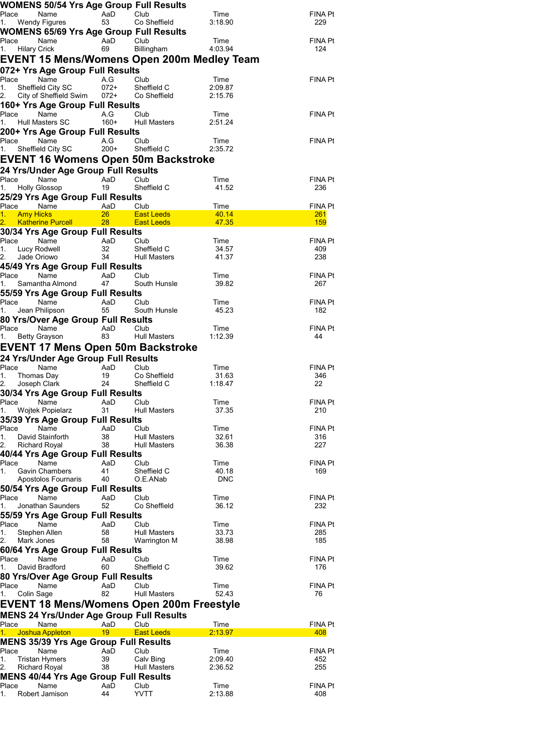|                      | <b>WOMENS 50/54 Yrs Age Group Full Results</b>                   |                 |                                                                  |                    |                          |
|----------------------|------------------------------------------------------------------|-----------------|------------------------------------------------------------------|--------------------|--------------------------|
| Place<br>1.          |                                                                  |                 | Club<br>Co Sheffield                                             | Time<br>3:18.90    | FINA Pt<br>229           |
|                      | <b>WOMENS 65/69 Yrs Age Group Full Results</b>                   |                 |                                                                  |                    |                          |
| Place                | Name                                                             | AaD             | Club                                                             | Time               | <b>FINA Pt</b>           |
| 1.<br>Hilary Crick   |                                                                  | 69              | Billingham                                                       | 4:03.94            | 124                      |
|                      |                                                                  |                 | EVENT 15 Mens/Womens Open 200m Medley Team                       |                    |                          |
|                      | 072+ Yrs Age Group Full Results                                  |                 |                                                                  |                    |                          |
| Place Name           |                                                                  | A.G             | Club                                                             | Time               | FINA Pt                  |
| 1.                   | Sheffield City SC<br>2. City of Sheffield Swim 072+ Co Sheffield | $072+$          | Sheffield C                                                      | 2:09.87<br>2:15.76 |                          |
|                      | 160+ Yrs Age Group Full Results                                  |                 |                                                                  |                    |                          |
| Place                | Name                                                             | A.G             | Club                                                             | Time               | FINA Pt                  |
| 1.                   | Hull Masters SC                                                  | 160+            | Hull Masters                                                     | 2:51.24            |                          |
|                      | 200+ Yrs Age Group Full Results                                  |                 |                                                                  |                    |                          |
| Place<br>1.          | Name<br>Sheffield City SC                                        | A.G             | Club<br>200+ Sheffield C                                         | Time<br>2:35.72    | <b>FINA Pt</b>           |
|                      |                                                                  |                 | EVENT 16 Womens Open 50m Backstroke                              |                    |                          |
|                      | 24 Yrs/Under Age Group Full Results                              |                 |                                                                  |                    |                          |
| Place                | Name                                                             | AaD             | Club                                                             | Time               | FINA Pt                  |
| 1. Holly Glossop     |                                                                  | 19              | Sheffield C                                                      | 41.52              | 236                      |
|                      | 25/29 Yrs Age Group Full Results                                 |                 |                                                                  |                    |                          |
| Place                | Name                                                             | AaD             | Club                                                             | Time               | FINA Pt                  |
| 1. Amy Hicks         |                                                                  | $26 -$          | <b>East Leeds</b><br>2. Katherine Purcell  28 East Leeds   47.35 | $-40.14$           | <b>261</b><br><b>159</b> |
|                      | 30/34 Yrs Age Group Full Results                                 |                 |                                                                  |                    |                          |
| Place Name           |                                                                  | AaD Club        |                                                                  | Time               | FINA Pt                  |
| 1.                   | Lucy Rodwell                                                     | 32              | Sheffield C                                                      | 34.57              | 409                      |
| Jade Oriowo          |                                                                  | 34              | Hull Masters                                                     | 41.37              | 238                      |
|                      | 45/49 Yrs Age Group Full Results                                 |                 |                                                                  |                    |                          |
| Place<br>1.          | Name<br>Samantha Almond                                          | AaD<br>47       | Club<br>South Hunsle                                             | Time<br>39.82      | FINA Pt<br>267           |
|                      | 55/59 Yrs Age Group Full Results                                 |                 |                                                                  |                    |                          |
| Place                |                                                                  | AaD             | Club                                                             | Time               | <b>FINA Pt</b>           |
|                      | ਜਾace Name<br>1. Jean Philipson<br>੨੨ ਪੱਤਰ                       | 55              | South Hunsle                                                     | 45.23              | 182                      |
|                      | 80 Yrs/Over Age Group Full Results                               |                 |                                                                  |                    |                          |
| Place<br>1.          | Name<br>Betty Grayson                                            | AaD<br>83       | Club<br>Hull Masters                                             | Time<br>1:12.39    | <b>FINA Pt</b><br>44     |
|                      |                                                                  |                 | <b>EVENT 17 Mens Open 50m Backstroke</b>                         |                    |                          |
|                      | 24 Yrs/Under Age Group Full Results                              |                 |                                                                  |                    |                          |
| Place                | Name                                                             | AaD             | Club                                                             | Time               | FINA Pt                  |
| 1.<br>Thomas Day     |                                                                  | 19              | Co Sheffield                                                     | 31.63              | 346                      |
| Joseph Clark         |                                                                  | 24              | Sheffield C                                                      | 1:18.47            | 22                       |
|                      | 30/34 Yrs Age Group Full Results                                 |                 |                                                                  |                    |                          |
| 1.                   | Place Name AaD Club<br>Wojtek Popielarz                          | 31              | Hull Masters                                                     | Time<br>37.35      | FINA Pt<br>210           |
|                      | 35/39 Yrs Age Group Full Results                                 |                 |                                                                  |                    |                          |
| Place                | Name                                                             | AaD             | Club                                                             | Time               | FINA Pt                  |
| 1.                   | David Stainforth                                                 | 38              | <b>Hull Masters</b>                                              | 32.61              | 316                      |
| <b>Richard Royal</b> |                                                                  | 38              | <b>Hull Masters</b>                                              | 36.38              | 227                      |
| Place                | 40/44 Yrs Age Group Full Results<br>Name                         | AaD             | Club                                                             | Time               | FINA Pt                  |
| 1.                   | <b>Gavin Chambers</b>                                            | 41              | Sheffield C                                                      | 40.18              | 169                      |
|                      | Apostolos Fournaris 40                                           |                 | O.E.ANab                                                         | <b>DNC</b>         |                          |
|                      | 50/54 Yrs Age Group Full Results                                 |                 |                                                                  |                    |                          |
| Place                | Name                                                             | AaD             | Club                                                             | Time<br>36.12      | FINA Pt                  |
| 1.                   | Jonathan Saunders<br>55/59 Yrs Age Group Full Results            | 52              | Co Sheffield                                                     |                    | 232                      |
| Place                | Name                                                             | AaD             | Club                                                             | Time               | FINA Pt                  |
| 1.<br>Stephen Allen  |                                                                  | 58              | Hull Masters                                                     | 33.73              | 285                      |
| 2.<br>Mark Jones     |                                                                  | 58              | Warrington M                                                     | 38.98              | 185                      |
|                      | 60/64 Yrs Age Group Full Results                                 |                 |                                                                  |                    |                          |
| Place<br>1.          | Name<br>David Bradford                                           | AaD<br>60       | Club<br>Sheffield C                                              | Time<br>39.62      | FINA Pt<br>176           |
|                      | 80 Yrs/Over Age Group Full Results                               |                 |                                                                  |                    |                          |
| Place                | Name                                                             | AaD             | Club                                                             | Time               | FINA Pt                  |
| 1.<br>Colin Sage     |                                                                  | 82              | <b>Hull Masters</b>                                              | 52.43              | 76                       |
|                      |                                                                  |                 | EVENT 18 Mens/Womens Open 200m Freestyle                         |                    |                          |
|                      | <b>MENS 24 Yrs/Under Age Group Full Results</b>                  |                 |                                                                  |                    |                          |
| Place                | Name                                                             | AaD             | Club                                                             | Time               | FINA Pt                  |
| 1.                   | Joshua Appleton                                                  | 19 <sup>°</sup> | <b>East Leeds</b>                                                | 2:13.97            | 408                      |
|                      | <b>MENS 35/39 Yrs Age Group Full Results</b>                     |                 |                                                                  |                    |                          |
| Place<br>1.          | Name<br><b>Tristan Hymers</b>                                    | AaD<br>39       | Club<br>Calv Bing                                                | Time<br>2:09.40    | FINA Pt<br>452           |
| 2.<br>Richard Royal  |                                                                  | 38              | Hull Masters                                                     | 2:36.52            | 255                      |
|                      | <b>MENS 40/44 Yrs Age Group Full Results</b>                     |                 |                                                                  |                    |                          |
| Place                | Name                                                             | AaD             | Club                                                             | Time               | FINA Pt                  |
| 1.                   | Robert Jamison                                                   | 44              | YVTT                                                             | 2:13.88            | 408                      |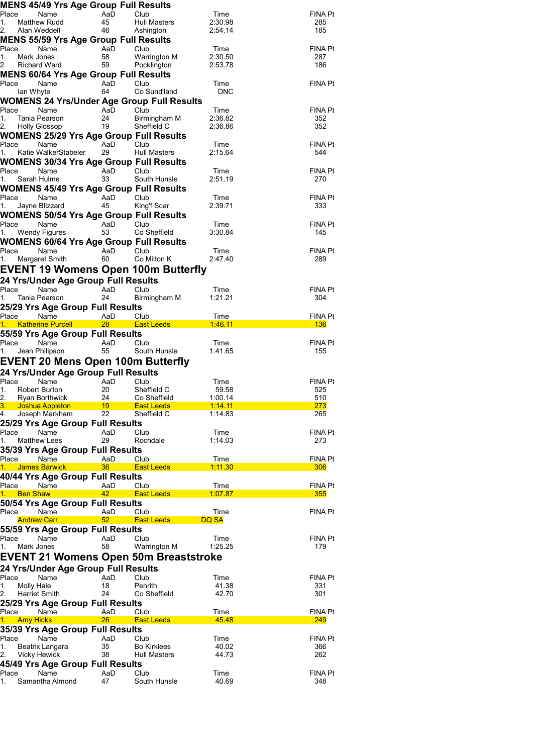|                                        | <b>MENS 45/49 Yrs Age Group Full Results</b>           |                 |                                                   |                    |                       |
|----------------------------------------|--------------------------------------------------------|-----------------|---------------------------------------------------|--------------------|-----------------------|
| Place<br>1.                            | Name<br>Matthew Rudd                                   | AaD<br>45       | Club<br><b>Hull Masters</b>                       | Time<br>2:30.98    | FINA Pt<br>285        |
| 2.<br>Alan Weddell                     |                                                        | 46              | Ashington                                         | 2:54.14            | 185                   |
|                                        | <b>MENS 55/59 Yrs Age Group Full Results</b>           |                 |                                                   |                    |                       |
| Place                                  | Name                                                   | AaD             | Club                                              | Time               | FINA Pt               |
| 1.<br>Mark Jones<br>2.<br>Richard Ward |                                                        | 58<br>59        | Warrington M<br>Pocklington                       | 2:30.50<br>2:53.78 | 287<br>186            |
|                                        | <b>MENS 60/64 Yrs Age Group Full Results</b>           |                 |                                                   |                    |                       |
| Place                                  | Name                                                   | AaD             | Club                                              | Time               | FINA Pt               |
| lan Whyte                              |                                                        | 64              | Co Sund'land                                      | <b>DNC</b>         |                       |
|                                        |                                                        |                 | <b>WOMENS 24 Yrs/Under Age Group Full Results</b> |                    |                       |
| Place                                  | Name                                                   | AaD             | Club                                              | Time               | FINA Pt               |
| 1.<br>2.                               | Tania Pearson<br><b>Holly Glossop</b>                  | 24<br>19        | Birmingham M<br>Sheffield C                       | 2:36.82<br>2:36.86 | 352<br>352            |
|                                        | <b>WOMENS 25/29 Yrs Age Group Full Results</b>         |                 |                                                   |                    |                       |
| Place                                  | Name                                                   | AaD             | Club                                              | Time               | FINA Pt               |
| 1.                                     | Katie WalkerStabeler                                   | 29              | <b>Hull Masters</b>                               | 2:15.64            | 544                   |
|                                        | <b>WOMENS 30/34 Yrs Age Group Full Results</b>         |                 |                                                   |                    |                       |
| Place                                  | Name                                                   | AaD             | Club                                              | Time               | FINA Pt               |
| $1_{-}$<br>Sarah Hulme                 |                                                        | 33              | South Hunsle                                      | 2:51.19            | 270                   |
| Place                                  | <b>WOMENS 45/49 Yrs Age Group Full Results</b><br>Name | AaD             | Club <sup>1</sup>                                 | Time               | FINA Pt               |
| 1.                                     | Jayne Blizzard                                         | 45              | King'f Scar                                       | 2:39.71            | 333                   |
|                                        | <b>WOMENS 50/54 Yrs Age Group Full Results</b>         |                 |                                                   |                    |                       |
| Place                                  | Name                                                   | AaD             | Club                                              | Time               | FINA Pt               |
| 1.                                     | <b>Wendy Figures</b>                                   | 53              | Co Sheffield                                      | 3:30.84            | 145                   |
|                                        | <b>WOMENS 60/64 Yrs Age Group Full Results</b>         |                 |                                                   |                    |                       |
| Place<br>1.                            | Name<br>Margaret Smith                                 | AaD<br>60       | Club<br>Co Milton K                               | Time<br>2:47.40    | FINA Pt<br>289        |
|                                        |                                                        |                 | <b>EVENT 19 Womens Open 100m Butterfly</b>        |                    |                       |
|                                        |                                                        |                 |                                                   |                    |                       |
| Place                                  | 24 Yrs/Under Age Group Full Results<br>Name            | AaD             | Club                                              | Time               | FINA Pt               |
| 1.                                     | Tania Pearson                                          | 24              | Birmingham M                                      | 1:21.21            | 304                   |
|                                        | 25/29 Yrs Age Group Full Results                       |                 |                                                   |                    |                       |
| Place                                  | Name                                                   | AaD             | Club                                              | Time               | FINA Pt               |
| 1.                                     | <b>Katherine Purcell</b>                               | 28 <sup>°</sup> | <b>East Leeds</b>                                 | 1.46.11            | <b>136</b>            |
|                                        | 55/59 Yrs Age Group Full Results                       |                 |                                                   |                    |                       |
| Place<br>1.                            | Name<br>Jean Philipson                                 | AaD<br>55       | Club<br>South Hunsle                              | Time<br>1:41.65    | FINA Pt<br>155        |
|                                        |                                                        |                 |                                                   |                    |                       |
|                                        |                                                        |                 |                                                   |                    |                       |
|                                        | <b>EVENT 20 Mens Open 100m Butterfly</b>               |                 |                                                   |                    |                       |
|                                        | 24 Yrs/Under Age Group Full Results                    |                 |                                                   |                    |                       |
| Place<br>1.                            | Name<br>Robert Burton                                  | AaD<br>20       | Club<br>Sheffield C                               | Time<br>59.58      | <b>FINA Pt</b><br>525 |
| 2.                                     | <b>Ryan Borthwick</b>                                  | 24              | Co Sheffield                                      | 1:00.14            | 510                   |
| 3.                                     | <b>Joshua Appleton</b>                                 | 19              | <b>East Leeds</b>                                 | 1:14.11            | 273                   |
| 4.                                     | Joseph Markham                                         | 22              | Sheffield C                                       | 1:14.83            | 265                   |
| Place                                  | 25/29 Yrs Age Group Full Results<br>Name               |                 | Club                                              |                    |                       |
| 1.                                     | <b>Matthew Lees</b>                                    | AaD<br>29       | Rochdale                                          | Time<br>1:14.03    | FINA Pt<br>273        |
|                                        | 35/39 Yrs Age Group Full Results                       |                 |                                                   |                    |                       |
| Place                                  | Name                                                   | AaD             | Club                                              | Time               | FINA Pt               |
| 1.                                     | <b>James Barwick</b>                                   | 36              | <b>East Leeds</b>                                 | 1:11.30            | 306                   |
|                                        | 40/44 Yrs Age Group Full Results                       |                 |                                                   |                    |                       |
| Place<br><b>Ben Shaw</b><br>1.         | Name                                                   | AaD<br>42       | Club<br><b>East Leeds</b>                         | Time<br>1:07.87    | FINA Pt<br>355        |
|                                        | 50/54 Yrs Age Group Full Results                       |                 |                                                   |                    |                       |
| Place                                  | Name                                                   | AaD             | Club                                              | Time               | FINA Pt               |
| <b>Andrew Carr</b>                     |                                                        | 52 <sub>2</sub> | <b>East Leeds</b>                                 | DQ SA              |                       |
|                                        | 55/59 Yrs Age Group Full Results                       |                 |                                                   |                    |                       |
| Place                                  | Name                                                   | AaD             | Club                                              | Time               | FINA Pt               |
| Mark Jones<br>1.                       |                                                        | 58              | Warrington M                                      | 1:25.25            | 179                   |
|                                        |                                                        |                 | EVENT 21 Womens Open 50m Breaststroke             |                    |                       |
|                                        | 24 Yrs/Under Age Group Full Results                    |                 |                                                   |                    |                       |
| Place<br>Molly Hale<br>1.              | Name                                                   | AaD<br>18       | Club<br>Penrith                                   | Time<br>41.38      | <b>FINA Pt</b><br>331 |
| 2.<br>Harriet Smith                    |                                                        | 24              | Co Sheffield                                      | 42.70              | 301                   |
|                                        | 25/29 Yrs Age Group Full Results                       |                 |                                                   |                    |                       |
| Place                                  | Name                                                   | AaD             | Club                                              | Time               | FINA Pt               |
| <b>Amy Hicks</b><br>1. .               |                                                        | 26              | <b>East Leeds</b>                                 | 45.48              | <b>249</b>            |
|                                        | 35/39 Yrs Age Group Full Results                       |                 |                                                   |                    |                       |
| Place<br>1.                            | Name                                                   | AaD<br>35       | Club<br><b>Bo Kirklees</b>                        | Time<br>40.02      | FINA Pt<br>366        |
| Vicky Hewick<br>2.                     | Beatrix Langara                                        | 38              | <b>Hull Masters</b>                               | 44.73              | 262                   |
|                                        | 45/49 Yrs Age Group Full Results                       |                 |                                                   |                    |                       |
| Place<br>1.                            | Name<br>Samantha Almond                                | AaD<br>47       | Club<br>South Hunsle                              | Time<br>40.69      | FINA Pt<br>348        |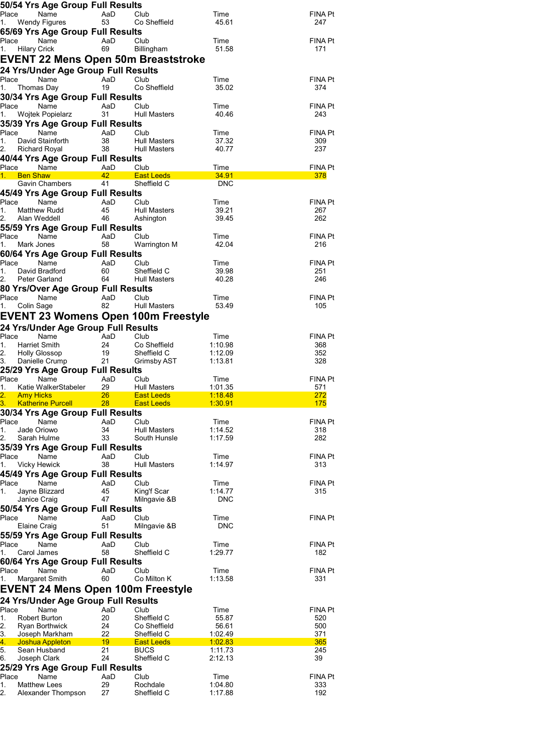| 50/54 Yrs Age Group Full Results             |                       |                                          |                    |                |
|----------------------------------------------|-----------------------|------------------------------------------|--------------------|----------------|
| Place<br>Name                                | AaD                   | Club                                     | Time               | FINA Pt        |
| 1.<br>Wendy Figures                          | 53                    | Co Sheffield                             | 45.61              | 247            |
| 65/69 Yrs Age Group Full Results             |                       |                                          |                    |                |
| Place<br>Name<br>1.                          | AaD<br>69             | Club<br>Billingham                       | Time<br>51.58      | FINA Pt<br>171 |
| <b>Hilary Crick</b>                          |                       |                                          |                    |                |
| <b>EVENT 22 Mens Open 50m Breaststroke</b>   |                       |                                          |                    |                |
| 24 Yrs/Under Age Group Full Results          |                       |                                          |                    |                |
| Place<br>Name<br>Thomas Day<br>1.            | AaD<br>19             | Club<br>Co Sheffield                     | Time<br>35.02      | FINA Pt<br>374 |
| 30/34 Yrs Age Group Full Results             |                       |                                          |                    |                |
| Place<br>Name                                | AaD                   | Club                                     | Time               | FINA Pt        |
| 1.<br>Wojtek Popielarz                       | 31                    | <b>Hull Masters</b>                      | 40.46              | 243            |
| 35/39 Yrs Age Group Full Results             |                       |                                          |                    |                |
| Place Name                                   | AaD                   | Club                                     | Time               | FINA Pt        |
| David Stainforth<br>1.                       | 38                    | <b>Hull Masters</b>                      | 37.32              | 309            |
| 2. Richard Royal                             | 38                    | <b>Hull Masters</b>                      | 40.77              | 237            |
| 40/44 Yrs Age Group Full Results             |                       |                                          |                    |                |
| Place<br>Name<br>1. Ben Shaw                 | AaD<br>42             | Club<br><b>East Leeds</b>                | Time<br>34.91      | FINA Pt        |
| Gavin Chambers                               | 41                    | Sheffield C                              | DNC                | 378            |
| 45/49 Yrs Age Group Full Results             |                       |                                          |                    |                |
| Place<br>Name                                | AaD                   | Club                                     | Time               | FINA Pt        |
| 1.<br>Matthew Rudd                           | 45                    | <b>Hull Masters</b>                      | 39.21              | 267            |
| 2.<br>Alan Weddell                           | 46                    | Ashington                                | 39.45              | 262            |
| 55/59 Yrs Age Group Full Results             |                       |                                          |                    |                |
| Place<br>Name                                | AaD                   | Club                                     | Time               | FINA Pt        |
| 1.<br>Mark Jones                             | 58                    | Warrington M                             | 42.04              | 216            |
| 60/64 Yrs Age Group Full Results             |                       |                                          |                    |                |
| Place<br>Name<br>1.<br>David Bradford        | AaD<br>60             | Club<br>Sheffield C                      | Time<br>39.98      | FINA Pt<br>251 |
| 2. Peter Garland                             | 64                    | Hull Masters                             | 40.28              | 246            |
| 80 Yrs/Over Age Group Full Results           |                       |                                          |                    |                |
| Place<br>Name                                | AaD                   | Club                                     | Time               | FINA Pt        |
| Colin Sage<br>1.                             | 82                    | <b>Hull Masters</b>                      | 53.49              | 105            |
| EVENT 23 Womens Open 100m Freestyle          |                       |                                          |                    |                |
| 24 Yrs/Under Age Group Full Results          |                       |                                          |                    |                |
| Place<br>Name                                | AaD                   | Club                                     | Time               | FINA Pt        |
| Harriet Smith<br>1.                          | 24                    | Co Sheffield                             | 1:10.98            | 368            |
| 2.<br><b>Holly Glossop</b>                   | 19                    | Sheffield C                              | 1:12.09            | 352            |
| Danielle Crump                               | 21                    | Grimsby AST                              | 1:13.81            | 328            |
| 25/29 Yrs Age Group Full Results             |                       |                                          |                    |                |
| Place<br>Name                                | AaD                   | Club                                     | Time               | FINA Pt        |
| Katie WalkerStabeler<br>1.<br>2. Amy Hicks   | 29<br>26 <sup>2</sup> | <b>Hull Masters</b><br><b>East Leeds</b> | 1:01.35<br>1:18.48 | 571<br>272     |
| 3. Katherine Purcell 28 East Leeds           |                       |                                          | 1:30.91            | 175            |
| 30/34 Yrs Age Group Full Results             |                       |                                          |                    |                |
| Place<br>Name                                | AaD                   | Club                                     | Time               | FINA Pt        |
| 1.<br>Jade Oriowo                            | 34                    | Hull Masters                             | 1:14.52            | 318            |
| 2.<br>Sarah Hulme                            | 33                    | South Hunsle                             | 1:17.59            | 282            |
| 35/39 Yrs Age Group Full Results             |                       |                                          |                    |                |
| Place<br>Name                                | AaD                   | Club                                     | Time               | FINA Pt        |
| <b>Vicky Hewick</b><br>1.                    | 38                    | Hull Masters                             | 1:14.97            | 313            |
| 45/49 Yrs Age Group Full Results             |                       |                                          |                    |                |
| Place<br>Name<br>Jayne Blizzard<br>1.        | AaD<br>45             | Club<br>King'f Scar                      | Time<br>1:14.77    | FINA Pt<br>315 |
| Janice Craig                                 | 47                    | Milngavie &B                             | <b>DNC</b>         |                |
| 50/54 Yrs Age Group Full Results             |                       |                                          |                    |                |
| Place<br>Name                                | AaD                   | Club                                     | Time               | FINA Pt        |
| <b>Elaine Craig</b>                          | 51                    | Milngavie &B                             | <b>DNC</b>         |                |
| 55/59 Yrs Age Group Full Results             |                       |                                          |                    |                |
| Place<br>Name                                | AaD                   | Club                                     | Time               | FINA Pt        |
| Carol James<br>1.                            | 58                    | Sheffield C                              | 1:29.77            | 182            |
| 60/64 Yrs Age Group Full Results             |                       |                                          |                    |                |
| Place<br>Name                                | AaD                   | Club                                     | Time               | FINA Pt        |
| Margaret Smith<br>1.                         | 60                    | Co Milton K                              | 1:13.58            | 331            |
| EVENT 24 Mens Open 100m Freestyle            |                       |                                          |                    |                |
| 24 Yrs/Under Age Group Full Results          |                       |                                          |                    |                |
| Place<br>Name                                | AaD                   | Club                                     | Time               | FINA Pt        |
| <b>Robert Burton</b><br>1.                   | 20                    | Sheffield C                              | 55.87              | 520            |
| 2.<br>Ryan Borthwick<br>3.<br>Joseph Markham | 24<br>22              | Co Sheffield<br>Sheffield C              | 56.61<br>1:02.49   | 500<br>371     |
| 4.<br>Joshua Appleton                        | 19                    | <b>East Leeds</b>                        | <u>1:02.83</u>     | 365            |
| 5.<br>Sean Husband                           | 21                    | <b>BUCS</b>                              | 1:11.73            | 245            |
| 6.<br>Joseph Clark                           | 24                    | Sheffield C                              | 2:12.13            | 39             |
| 25/29 Yrs Age Group Full Results             |                       |                                          |                    |                |
| Name<br>Place                                | AaD                   | Club                                     | Time               | FINA Pt        |
| <b>Matthew Lees</b><br>1.                    | 29                    | Rochdale                                 | 1:04.80            | 333            |
| Alexander Thompson<br>2.                     | 27                    | Sheffield C                              | 1:17.88            | 192            |